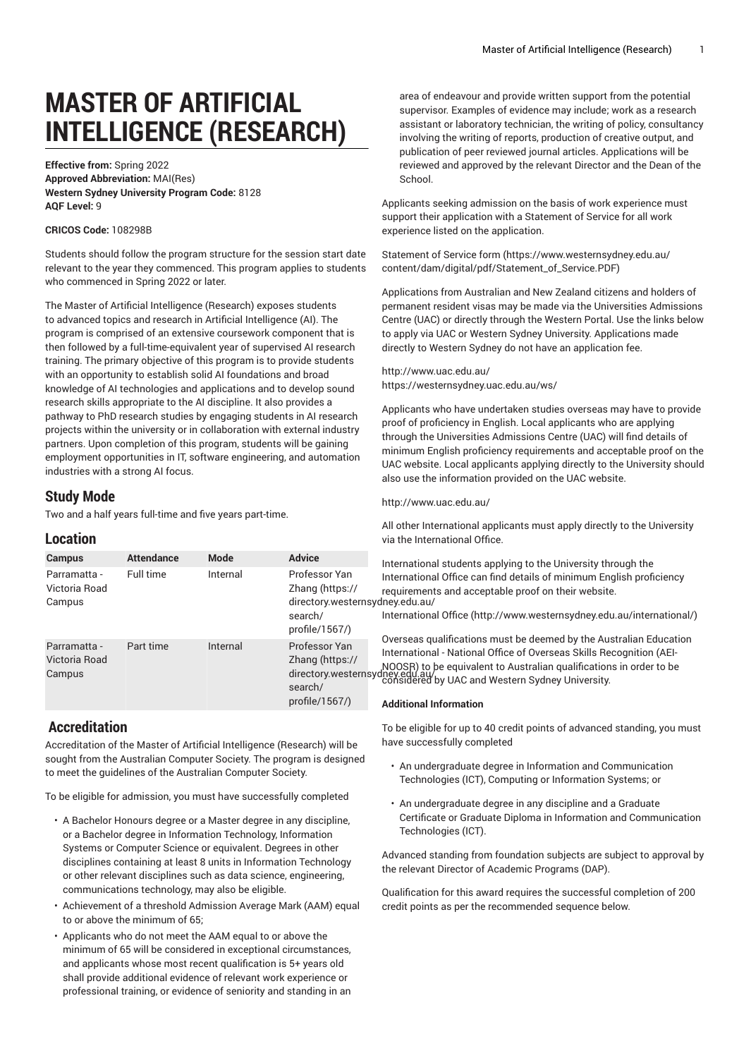# **MASTER OF ARTIFICIAL INTELLIGENCE (RESEARCH)**

**Effective from:** Spring 2022 **Approved Abbreviation:** MAI(Res) **Western Sydney University Program Code:** 8128 **AQF Level:** 9

### **CRICOS Code:** 108298B

Students should follow the program structure for the session start date relevant to the year they commenced. This program applies to students who commenced in Spring 2022 or later.

The Master of Artificial Intelligence (Research) exposes students to advanced topics and research in Artificial Intelligence (AI). The program is comprised of an extensive coursework component that is then followed by a full-time-equivalent year of supervised AI research training. The primary objective of this program is to provide students with an opportunity to establish solid AI foundations and broad knowledge of AI technologies and applications and to develop sound research skills appropriate to the AI discipline. It also provides a pathway to PhD research studies by engaging students in AI research projects within the university or in collaboration with external industry partners. Upon completion of this program, students will be gaining employment opportunities in IT, software engineering, and automation industries with a strong AI focus.

## **Study Mode**

Two and a half years full-time and five years part-time.

## **Location**

| <b>Campus</b>                           | <b>Attendance</b> | <b>Mode</b> | <b>Advice</b>                                                                                                                   | Internationa                                                                                      |
|-----------------------------------------|-------------------|-------------|---------------------------------------------------------------------------------------------------------------------------------|---------------------------------------------------------------------------------------------------|
| Parramatta -<br>Victoria Road<br>Campus | Full time         | Internal    | Professor Yan<br>Zhang (https://<br>directory.westernsydney.edu.au/<br>search/<br>profile/ $1567/$ )                            | Internationa<br>requirement<br>Internationa<br>Overseas qu<br>Internationa<br><b>Additional I</b> |
| Parramatta -<br>Victoria Road<br>Campus | Part time         | Internal    | Professor Yan<br>Zhang (https://<br>MOOSR) to<br>directory.westernsydney.edu.au/<br>considered<br>search/<br>profile/ $1567/$ ) |                                                                                                   |

## **Accreditation**

Accreditation of the Master of Artificial Intelligence (Research) will be sought from the Australian Computer Society. The program is designed to meet the guidelines of the Australian Computer Society.

To be eligible for admission, you must have successfully completed

- A Bachelor Honours degree or a Master degree in any discipline, or a Bachelor degree in Information Technology, Information Systems or Computer Science or equivalent. Degrees in other disciplines containing at least 8 units in Information Technology or other relevant disciplines such as data science, engineering, communications technology, may also be eligible.
- Achievement of a threshold Admission Average Mark (AAM) equal to or above the minimum of 65;
- Applicants who do not meet the AAM equal to or above the minimum of 65 will be considered in exceptional circumstances, and applicants whose most recent qualification is 5+ years old shall provide additional evidence of relevant work experience or professional training, or evidence of seniority and standing in an

area of endeavour and provide written support from the potential supervisor. Examples of evidence may include; work as a research assistant or laboratory technician, the writing of policy, consultancy involving the writing of reports, production of creative output, and publication of peer reviewed journal articles. Applications will be reviewed and approved by the relevant Director and the Dean of the School.

Applicants seeking admission on the basis of work experience must support their application with a Statement of Service for all work experience listed on the application.

[Statement](https://www.westernsydney.edu.au/content/dam/digital/pdf/Statement_of_Service.PDF) of Service form [\(https://www.westernsydney.edu.au/](https://www.westernsydney.edu.au/content/dam/digital/pdf/Statement_of_Service.PDF) [content/dam/digital/pdf/Statement\\_of\\_Service.PDF](https://www.westernsydney.edu.au/content/dam/digital/pdf/Statement_of_Service.PDF))

Applications from Australian and New Zealand citizens and holders of permanent resident visas may be made via the Universities Admissions Centre (UAC) or directly through the Western Portal. Use the links below to apply via UAC or Western Sydney University. Applications made directly to Western Sydney do not have an application fee.

#### <http://www.uac.edu.au/> <https://westernsydney.uac.edu.au/ws/>

Applicants who have undertaken studies overseas may have to provide proof of proficiency in English. Local applicants who are applying through the Universities Admissions Centre (UAC) will find details of minimum English proficiency requirements and acceptable proof on the UAC website. Local applicants applying directly to the University should also use the information provided on the UAC website.

<http://www.uac.edu.au/>

All other International applicants must apply directly to the University via the International Office.

 $au/$ ional students applying to the University through the tional Office can find details of minimum English proficiency ments and acceptable proof on their website.

tional Office ([http://www.westernsydney.edu.au/international/\)](http://www.westernsydney.edu.au/international/)

as qualifications must be deemed by the Australian Education tional - National Office of Overseas Skills Recognition (AEI-) to be equivalent to Australian qualifications in order to be cay<br>red by UAC and Western Sydney University.

#### **Additional Information**

To be eligible for up to 40 credit points of advanced standing, you must have successfully completed

- An undergraduate degree in Information and Communication Technologies (ICT), Computing or Information Systems; or
- An undergraduate degree in any discipline and a Graduate Certificate or Graduate Diploma in Information and Communication Technologies (ICT).

Advanced standing from foundation subjects are subject to approval by the relevant Director of Academic Programs (DAP).

Qualification for this award requires the successful completion of 200 credit points as per the recommended sequence below.